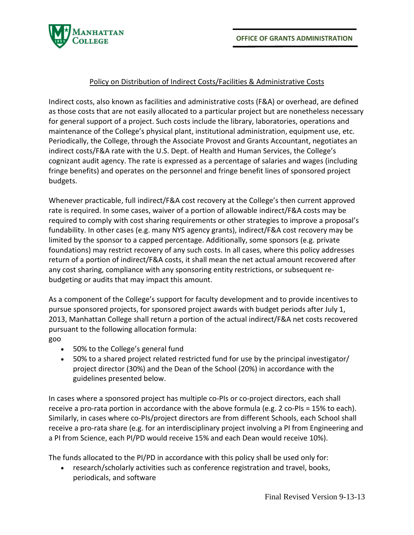

## Policy on Distribution of Indirect Costs/Facilities & Administrative Costs

Indirect costs, also known as facilities and administrative costs (F&A) or overhead, are defined as those costs that are not easily allocated to a particular project but are nonetheless necessary for general support of a project. Such costs include the library, laboratories, operations and maintenance of the College's physical plant, institutional administration, equipment use, etc. Periodically, the College, through the Associate Provost and Grants Accountant, negotiates an indirect costs/F&A rate with the U.S. Dept. of Health and Human Services, the College's cognizant audit agency. The rate is expressed as a percentage of salaries and wages (including fringe benefits) and operates on the personnel and fringe benefit lines of sponsored project budgets.

Whenever practicable, full indirect/F&A cost recovery at the College's then current approved rate is required. In some cases, waiver of a portion of allowable indirect/F&A costs may be required to comply with cost sharing requirements or other strategies to improve a proposal's fundability. In other cases (e.g. many NYS agency grants), indirect/F&A cost recovery may be limited by the sponsor to a capped percentage. Additionally, some sponsors (e.g. private foundations) may restrict recovery of any such costs. In all cases, where this policy addresses return of a portion of indirect/F&A costs, it shall mean the net actual amount recovered after any cost sharing, compliance with any sponsoring entity restrictions, or subsequent rebudgeting or audits that may impact this amount.

As a component of the College's support for faculty development and to provide incentives to pursue sponsored projects, for sponsored project awards with budget periods after July 1, 2013, Manhattan College shall return a portion of the actual indirect/F&A net costs recovered pursuant to the following allocation formula: goo

- 50% to the College's general fund
- 50% to a shared project related restricted fund for use by the principal investigator/ project director (30%) and the Dean of the School (20%) in accordance with the guidelines presented below.

In cases where a sponsored project has multiple co-PIs or co-project directors, each shall receive a pro-rata portion in accordance with the above formula (e.g. 2 co-PIs = 15% to each). Similarly, in cases where co-PIs/project directors are from different Schools, each School shall receive a pro-rata share (e.g. for an interdisciplinary project involving a PI from Engineering and a PI from Science, each PI/PD would receive 15% and each Dean would receive 10%).

The funds allocated to the PI/PD in accordance with this policy shall be used only for:

• research/scholarly activities such as conference registration and travel, books, periodicals, and software